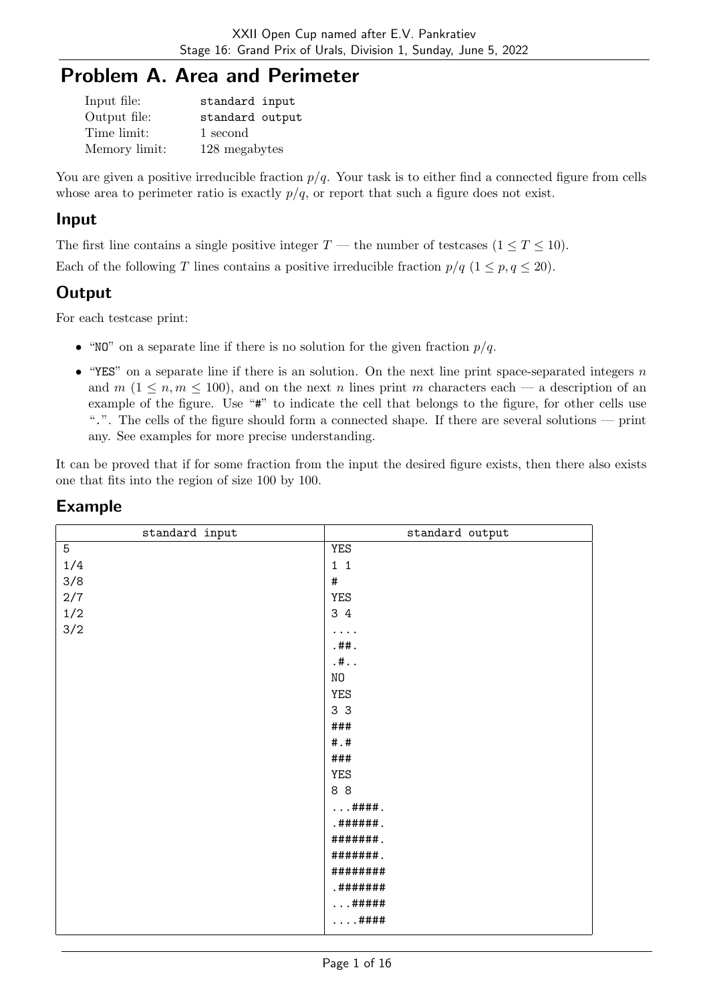# Problem A. Area and Perimeter

| Input file:   | standard input  |
|---------------|-----------------|
| Output file:  | standard output |
| Time limit:   | 1 second        |
| Memory limit: | 128 megabytes   |

You are given a positive irreducible fraction  $p/q$ . Your task is to either find a connected figure from cells whose area to perimeter ratio is exactly  $p/q$ , or report that such a figure does not exist.

#### Input

The first line contains a single positive integer  $T$  — the number of testcases  $(1 \le T \le 10)$ .

Each of the following T lines contains a positive irreducible fraction  $p/q$   $(1 \le p, q \le 20)$ .

## **Output**

For each testcase print:

- "NO" on a separate line if there is no solution for the given fraction  $p/q$ .
- "YES" on a separate line if there is an solution. On the next line print space-separated integers  $n$ and  $m (1 \leq n, m \leq 100)$ , and on the next n lines print m characters each — a description of an example of the figure. Use "#" to indicate the cell that belongs to the figure, for other cells use ".". The cells of the figure should form a connected shape. If there are several solutions — print any. See examples for more precise understanding.

It can be proved that if for some fraction from the input the desired figure exists, then there also exists one that fits into the region of size 100 by 100.

| standard input | standard output |
|----------------|-----------------|
| 5              | YES             |
| 1/4            | $1\quad1$       |
| 3/8            | $\#$            |
| $2/7$          | YES             |
| $1/2\,$        | 3 4             |
| $3/2$          | .               |
|                | . ##.           |
|                | . #. .          |
|                | $\rm NO$        |
|                | YES             |
|                | 3 <sub>3</sub>  |
|                | ###             |
|                | # .#            |
|                | ###             |
|                | YES             |
|                | 88              |
|                | ####.           |
|                | . ######.       |
|                | #######         |
|                | #######         |
|                | ########        |
|                | .#######        |
|                | #####           |
|                | ####            |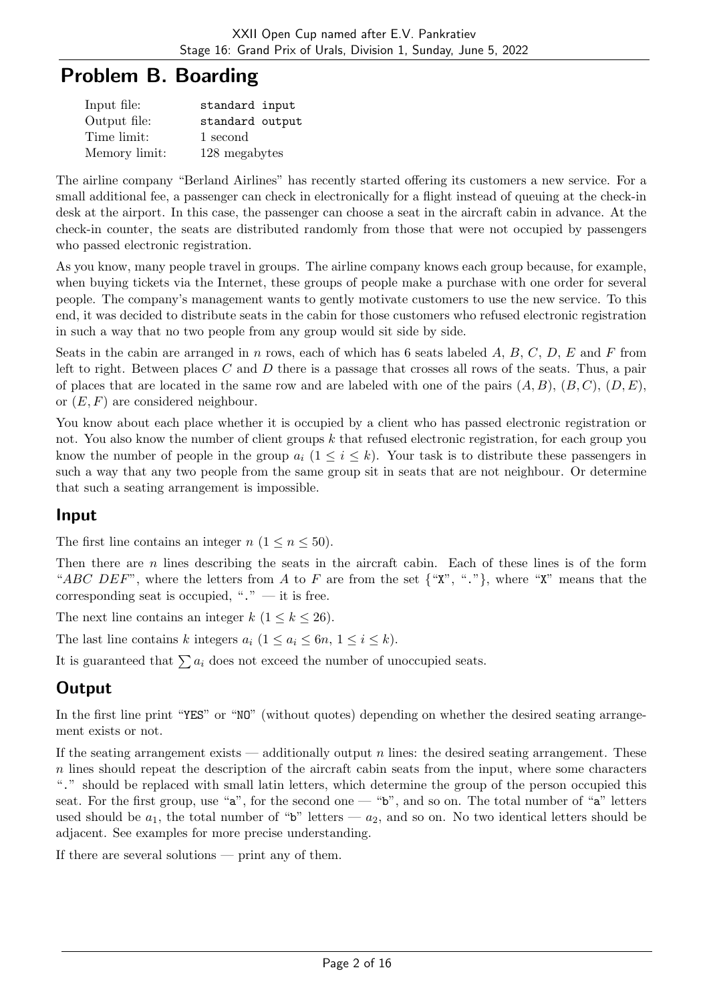## Problem B. Boarding

| Input file:   | standard input  |
|---------------|-----------------|
| Output file:  | standard output |
| Time limit:   | 1 second        |
| Memory limit: | 128 megabytes   |

The airline company "Berland Airlines" has recently started offering its customers a new service. For a small additional fee, a passenger can check in electronically for a flight instead of queuing at the check-in desk at the airport. In this case, the passenger can choose a seat in the aircraft cabin in advance. At the check-in counter, the seats are distributed randomly from those that were not occupied by passengers who passed electronic registration.

As you know, many people travel in groups. The airline company knows each group because, for example, when buying tickets via the Internet, these groups of people make a purchase with one order for several people. The company's management wants to gently motivate customers to use the new service. To this end, it was decided to distribute seats in the cabin for those customers who refused electronic registration in such a way that no two people from any group would sit side by side.

Seats in the cabin are arranged in n rows, each of which has 6 seats labeled  $A, B, C, D, E$  and F from left to right. Between places  $C$  and  $D$  there is a passage that crosses all rows of the seats. Thus, a pair of places that are located in the same row and are labeled with one of the pairs  $(A, B)$ ,  $(B, C)$ ,  $(D, E)$ , or  $(E, F)$  are considered neighbour.

You know about each place whether it is occupied by a client who has passed electronic registration or not. You also know the number of client groups k that refused electronic registration, for each group you know the number of people in the group  $a_i$   $(1 \leq i \leq k)$ . Your task is to distribute these passengers in such a way that any two people from the same group sit in seats that are not neighbour. Or determine that such a seating arrangement is impossible.

#### Input

The first line contains an integer  $n (1 \le n \le 50)$ .

Then there are n lines describing the seats in the aircraft cabin. Each of these lines is of the form "ABC DEF", where the letters from A to F are from the set  $\{\text{``X''}, \text{``.''}\}\$ , where "X" means that the corresponding seat is occupied, " $\cdot$ " — it is free.

The next line contains an integer  $k$  ( $1 \leq k \leq 26$ ).

The last line contains k integers  $a_i$   $(1 \le a_i \le 6n, 1 \le i \le k)$ .

It is guaranteed that  $\sum a_i$  does not exceed the number of unoccupied seats.

## **Output**

In the first line print "YES" or "NO" (without quotes) depending on whether the desired seating arrangement exists or not.

If the seating arrangement exists — additionally output n lines: the desired seating arrangement. These n lines should repeat the description of the aircraft cabin seats from the input, where some characters "." should be replaced with small latin letters, which determine the group of the person occupied this seat. For the first group, use "a", for the second one — "b", and so on. The total number of "a" letters used should be  $a_1$ , the total number of "b" letters —  $a_2$ , and so on. No two identical letters should be adjacent. See examples for more precise understanding.

If there are several solutions — print any of them.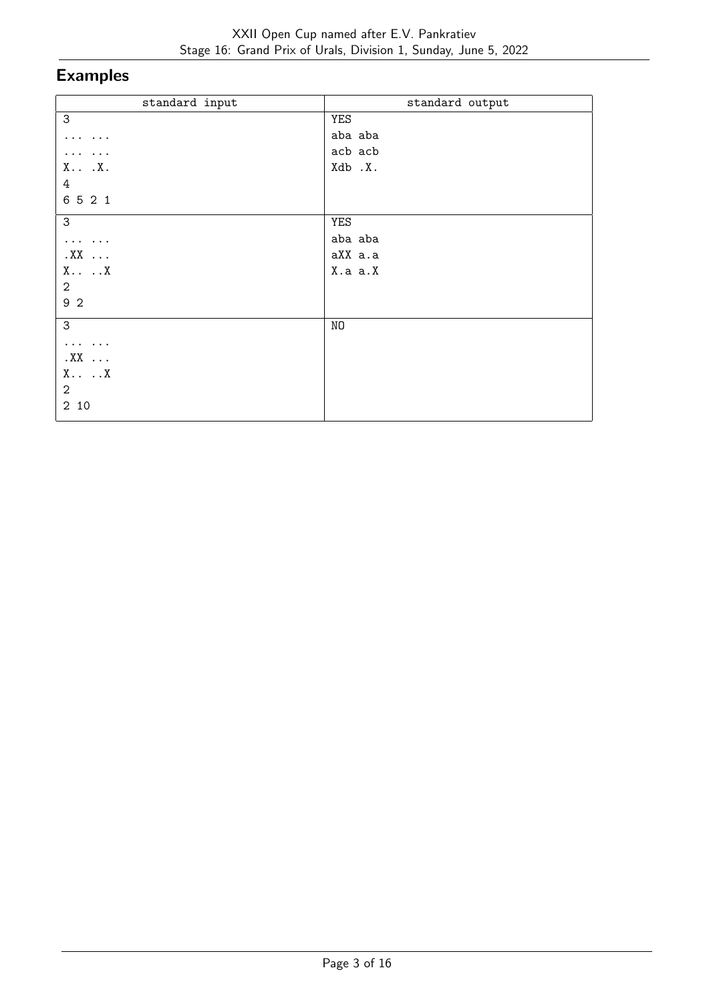| standard input                | standard output |
|-------------------------------|-----------------|
| 3                             | YES             |
| $\cdots$                      | aba aba         |
| $\cdots$                      | acb acb         |
| X . X.                        | Xdb .X.         |
| 4                             |                 |
| 6521                          |                 |
| 3                             | YES             |
| $\cdots \cdots \cdots$        | aba aba         |
| $.XX$                         | aXX a.a         |
| $X \cdot \cdot \cdot \cdot X$ | X.a a.X         |
| $\overline{2}$                |                 |
| 92                            |                 |
| 3                             | NO              |
| $\cdots \cdots \cdots$        |                 |
| $.XX$                         |                 |
| $X \cdot \cdot \cdot \cdot X$ |                 |
| $\boldsymbol{2}$              |                 |
| 2 10                          |                 |
|                               |                 |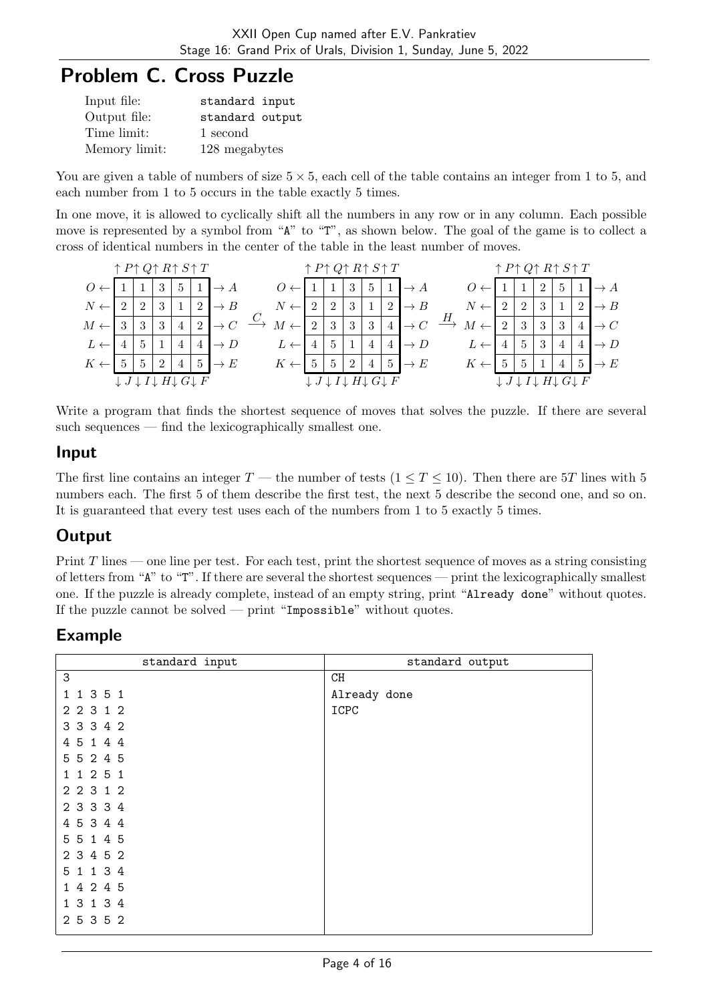# Problem C. Cross Puzzle

| Input file:   | standard input  |
|---------------|-----------------|
| Output file:  | standard output |
| Time limit:   | 1 second        |
| Memory limit: | 128 megabytes   |

You are given a table of numbers of size  $5 \times 5$ , each cell of the table contains an integer from 1 to 5, and each number from 1 to 5 occurs in the table exactly 5 times.

In one move, it is allowed to cyclically shift all the numbers in any row or in any column. Each possible move is represented by a symbol from "A" to "T", as shown below. The goal of the game is to collect a cross of identical numbers in the center of the table in the least number of moves.

|                                       | $\uparrow$ P $\uparrow$ Q $\uparrow$ R $\uparrow$ S $\uparrow$ T   |   |   |   |                |                 |                |   |   |   | $\uparrow$ P $\uparrow$ Q $\uparrow$ R $\uparrow$ S $\uparrow$ T   |              |                 |   |                |                |                |   | $\uparrow$ P $\uparrow$ Q $\uparrow$ R $\uparrow$ S $\uparrow$ T   |                 |
|---------------------------------------|--------------------------------------------------------------------|---|---|---|----------------|-----------------|----------------|---|---|---|--------------------------------------------------------------------|--------------|-----------------|---|----------------|----------------|----------------|---|--------------------------------------------------------------------|-----------------|
| $O \left( \sqrt{\frac{1}{2}} \right)$ |                                                                    |   | 3 | 5 |                |                 |                |   |   | 3 | 5                                                                  |              | $\rightarrow A$ |   |                |                | $\overline{2}$ | 5 |                                                                    | $\rightarrow$ A |
| $N \leftarrow$                        |                                                                    | 2 | 3 |   | $\overline{2}$ |                 | $N \leftarrow$ | 2 | 2 | 3 |                                                                    | റ            | $\rightarrow$ B |   |                | $\overline{2}$ | 3              |   | ച                                                                  | $\rightarrow B$ |
| $M \leftarrow$                        |                                                                    | 3 |   | 4 | $\overline{2}$ |                 | $M \leftarrow$ | 2 | 3 | 3 | 3                                                                  | $\pm$        |                 | Н | $M \leftarrow$ | 3              | 3              |   |                                                                    | $\rightarrow C$ |
| $L \leftarrow$                        |                                                                    | 5 |   |   | 4              |                 |                |   | 5 |   | 4                                                                  | $\mathbf{4}$ | $\rightarrow D$ |   |                | $\overline{5}$ | 3              |   |                                                                    |                 |
| $K \cdot$                             |                                                                    | 5 |   |   | $\mathbf{G}$   | $\rightarrow E$ | Κ              |   |   | ച | 4                                                                  |              | $\rightarrow E$ |   |                | 5              |                |   | 5                                                                  | $\rightarrow E$ |
|                                       | $\downarrow J \downarrow I \downarrow H \downarrow G \downarrow F$ |   |   |   |                |                 |                |   |   |   | $\downarrow J \downarrow I \downarrow H \downarrow G \downarrow F$ |              |                 |   |                |                |                |   | $\downarrow J \downarrow I \downarrow H \downarrow G \downarrow F$ |                 |

Write a program that finds the shortest sequence of moves that solves the puzzle. If there are several such sequences — find the lexicographically smallest one.

#### Input

The first line contains an integer  $T$  — the number of tests  $(1 \le T \le 10)$ . Then there are 5T lines with 5 numbers each. The first 5 of them describe the first test, the next 5 describe the second one, and so on. It is guaranteed that every test uses each of the numbers from 1 to 5 exactly 5 times.

## **Output**

Print  $T$  lines — one line per test. For each test, print the shortest sequence of moves as a string consisting of letters from "A" to "T". If there are several the shortest sequences — print the lexicographically smallest one. If the puzzle is already complete, instead of an empty string, print "Already done" without quotes. If the puzzle cannot be solved — print "Impossible" without quotes.

| standard input          | standard output |
|-------------------------|-----------------|
| 3                       | CH              |
| 1 1 3 5 1               | Already done    |
| 2 2 3 1 2               | ICPC            |
| 3 3 3 4 2               |                 |
| 5 1 4 4<br>4            |                 |
| 5 5 2 4 5               |                 |
| 1 2 5 1<br>1            |                 |
| 2 2 3 1 2               |                 |
| 2 3 3 3 4               |                 |
| 4 5 3 4 4               |                 |
| 5 5 1 4 5               |                 |
| 2 3 4 5 2               |                 |
| 1 1 3 4<br>5            |                 |
| 4 2 4 5<br>$\mathbf{1}$ |                 |
| 3 1 3 4<br>$\mathbf{1}$ |                 |
| 2 5 3 5 2               |                 |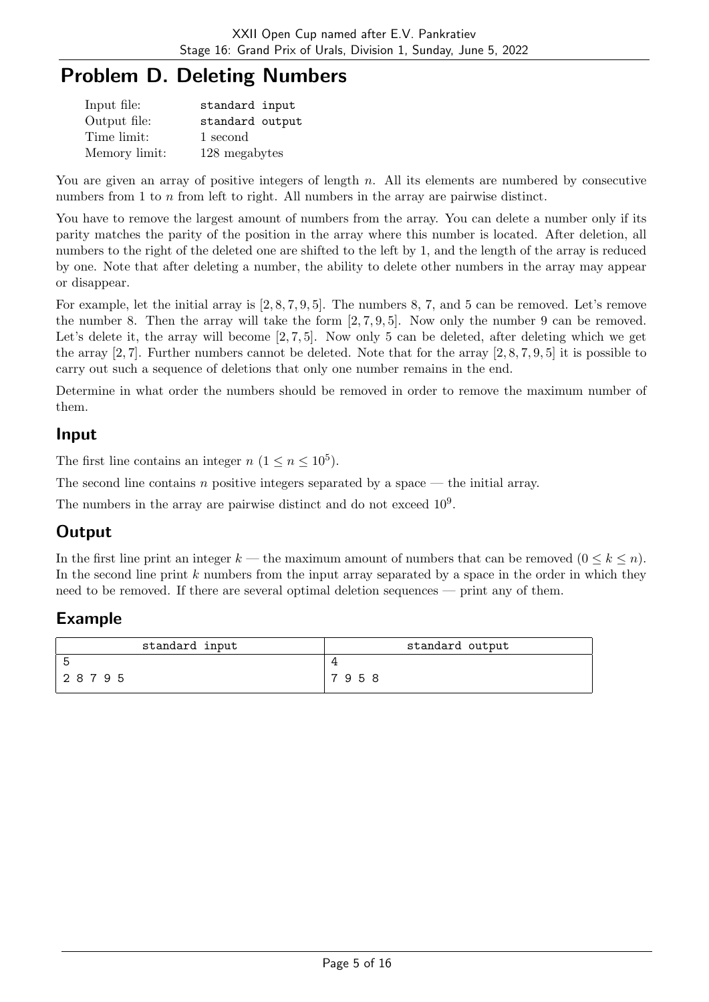# Problem D. Deleting Numbers

| Input file:   | standard input  |
|---------------|-----------------|
| Output file:  | standard output |
| Time limit:   | 1 second        |
| Memory limit: | 128 megabytes   |

You are given an array of positive integers of length  $n$ . All its elements are numbered by consecutive numbers from 1 to n from left to right. All numbers in the array are pairwise distinct.

You have to remove the largest amount of numbers from the array. You can delete a number only if its parity matches the parity of the position in the array where this number is located. After deletion, all numbers to the right of the deleted one are shifted to the left by 1, and the length of the array is reduced by one. Note that after deleting a number, the ability to delete other numbers in the array may appear or disappear.

For example, let the initial array is [2, 8, 7, 9, 5]. The numbers 8, 7, and 5 can be removed. Let's remove the number 8. Then the array will take the form  $[2, 7, 9, 5]$ . Now only the number 9 can be removed. Let's delete it, the array will become [2, 7, 5]. Now only 5 can be deleted, after deleting which we get the array  $[2, 7]$ . Further numbers cannot be deleted. Note that for the array  $[2, 8, 7, 9, 5]$  it is possible to carry out such a sequence of deletions that only one number remains in the end.

Determine in what order the numbers should be removed in order to remove the maximum number of them.

#### Input

The first line contains an integer  $n (1 \le n \le 10^5)$ .

The second line contains n positive integers separated by a space — the initial array.

The numbers in the array are pairwise distinct and do not exceed  $10<sup>9</sup>$ .

## **Output**

In the first line print an integer k — the maximum amount of numbers that can be removed  $(0 \le k \le n)$ . In the second line print k numbers from the input array separated by a space in the order in which they need to be removed. If there are several optimal deletion sequences — print any of them.

| standard input | standard output |
|----------------|-----------------|
| 'n             |                 |
| 28795          | 7958            |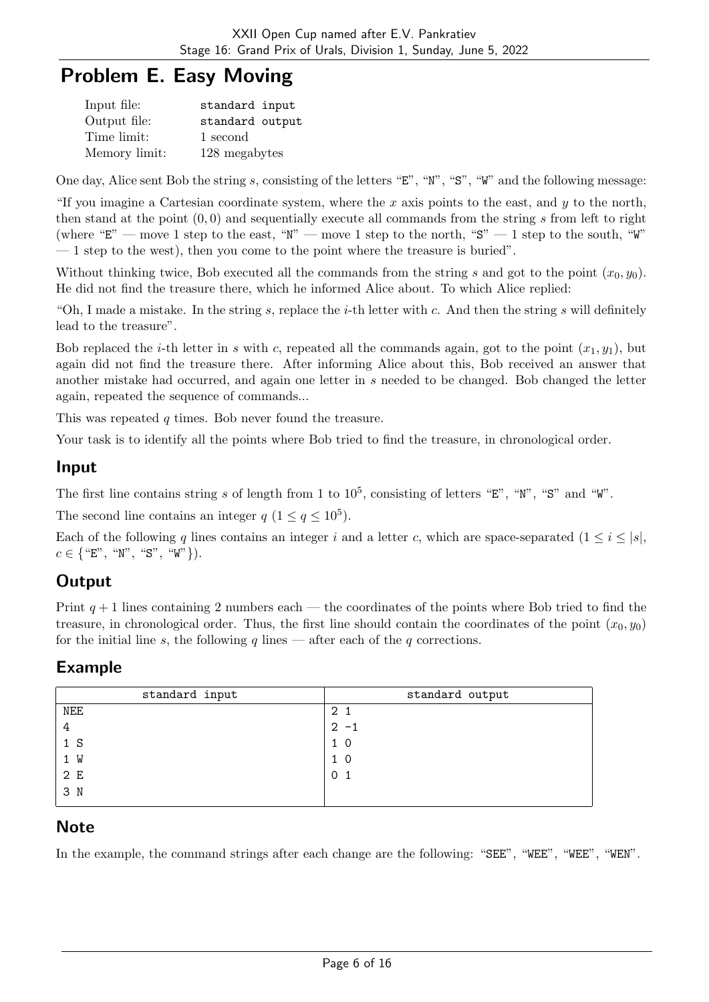# Problem E. Easy Moving

| Input file:   | standard input  |
|---------------|-----------------|
| Output file:  | standard output |
| Time limit:   | 1 second        |
| Memory limit: | 128 megabytes   |

One day, Alice sent Bob the string s, consisting of the letters "E", "N", "S", "W" and the following message:

"If you imagine a Cartesian coordinate system, where the x axis points to the east, and  $y$  to the north, then stand at the point  $(0, 0)$  and sequentially execute all commands from the string s from left to right (where "E" — move 1 step to the east, "N" — move 1 step to the north, "S" — 1 step to the south, "W" — 1 step to the west), then you come to the point where the treasure is buried".

Without thinking twice, Bob executed all the commands from the string s and got to the point  $(x_0, y_0)$ . He did not find the treasure there, which he informed Alice about. To which Alice replied:

"Oh, I made a mistake. In the string s, replace the *i*-th letter with c. And then the string s will definitely lead to the treasure".

Bob replaced the *i*-th letter in s with c, repeated all the commands again, got to the point  $(x_1, y_1)$ , but again did not find the treasure there. After informing Alice about this, Bob received an answer that another mistake had occurred, and again one letter in s needed to be changed. Bob changed the letter again, repeated the sequence of commands...

This was repeated q times. Bob never found the treasure.

Your task is to identify all the points where Bob tried to find the treasure, in chronological order.

#### Input

The first line contains string s of length from 1 to  $10^5$ , consisting of letters "E", "N", "S" and "W".

The second line contains an integer  $q$   $(1 \leq q \leq 10^5)$ .

Each of the following q lines contains an integer i and a letter c, which are space-separated  $(1 \le i \le |s|,$  $c \in \{$  "E", "N", "S", "W" }).

### **Output**

Print  $q + 1$  lines containing 2 numbers each — the coordinates of the points where Bob tried to find the treasure, in chronological order. Thus, the first line should contain the coordinates of the point  $(x_0, y_0)$ for the initial line s, the following q lines — after each of the q corrections.

### Example

| standard input | standard output |
|----------------|-----------------|
| NEE            | 2 1             |
| 4              | $2 - 1$         |
| 1 <sub>S</sub> | 1 <sub>0</sub>  |
| 1 W            | $1\,0$          |
| 2 E            |                 |
| 3 N            |                 |
|                |                 |

### **Note**

In the example, the command strings after each change are the following: "SEE", "WEE", "WEE", "WEN".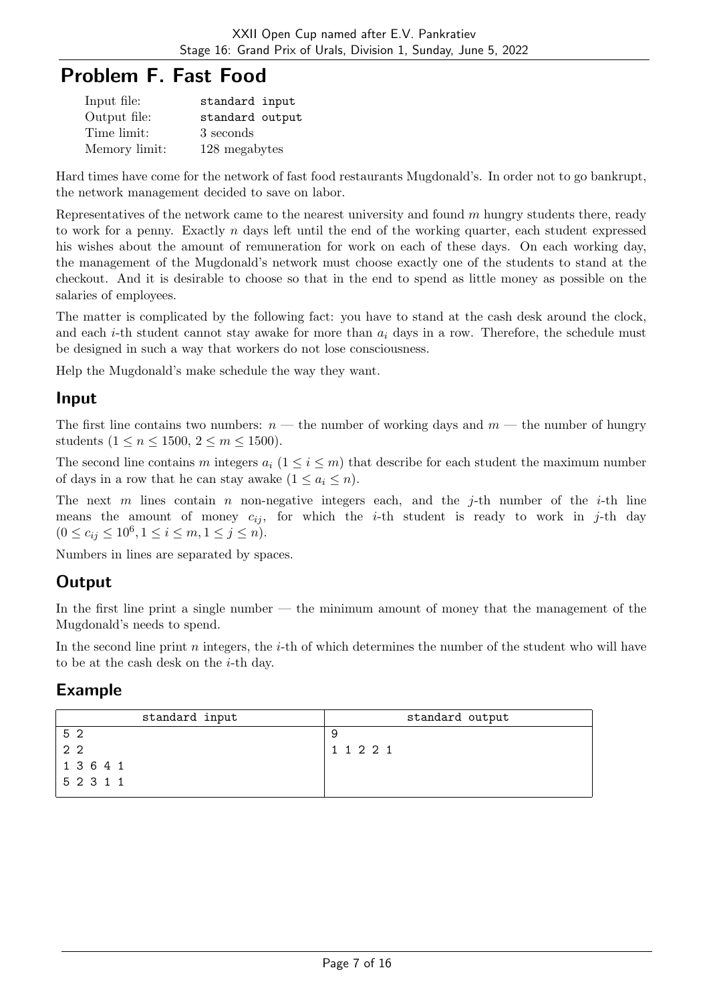# Problem F. Fast Food

| Input file:   | standard input  |
|---------------|-----------------|
| Output file:  | standard output |
| Time limit:   | 3 seconds       |
| Memory limit: | 128 megabytes   |

Hard times have come for the network of fast food restaurants Mugdonald's. In order not to go bankrupt, the network management decided to save on labor.

Representatives of the network came to the nearest university and found m hungry students there, ready to work for a penny. Exactly  $n$  days left until the end of the working quarter, each student expressed his wishes about the amount of remuneration for work on each of these days. On each working day, the management of the Mugdonald's network must choose exactly one of the students to stand at the checkout. And it is desirable to choose so that in the end to spend as little money as possible on the salaries of employees.

The matter is complicated by the following fact: you have to stand at the cash desk around the clock, and each *i*-th student cannot stay awake for more than  $a_i$  days in a row. Therefore, the schedule must be designed in such a way that workers do not lose consciousness.

Help the Mugdonald's make schedule the way they want.

### Input

The first line contains two numbers:  $n$  — the number of working days and  $m$  — the number of hungry students  $(1 \le n \le 1500, 2 \le m \le 1500)$ .

The second line contains m integers  $a_i$  (1  $\leq i \leq m$ ) that describe for each student the maximum number of days in a row that he can stay awake  $(1 \le a_i \le n)$ .

The next m lines contain n non-negative integers each, and the j-th number of the i-th line means the amount of money  $c_{ij}$ , for which the *i*-th student is ready to work in *j*-th day  $(0 \le c_{ij} \le 10^6, 1 \le i \le m, 1 \le j \le n).$ 

Numbers in lines are separated by spaces.

## **Output**

In the first line print a single number — the minimum amount of money that the management of the Mugdonald's needs to spend.

In the second line print n integers, the *i*-th of which determines the number of the student who will have to be at the cash desk on the i-th day.

| standard input | standard output |
|----------------|-----------------|
| 52             | 9               |
| 2 <sub>2</sub> | 1 1 2 2 1       |
| 1 3 6 4 1      |                 |
| 5 2 3 1 1      |                 |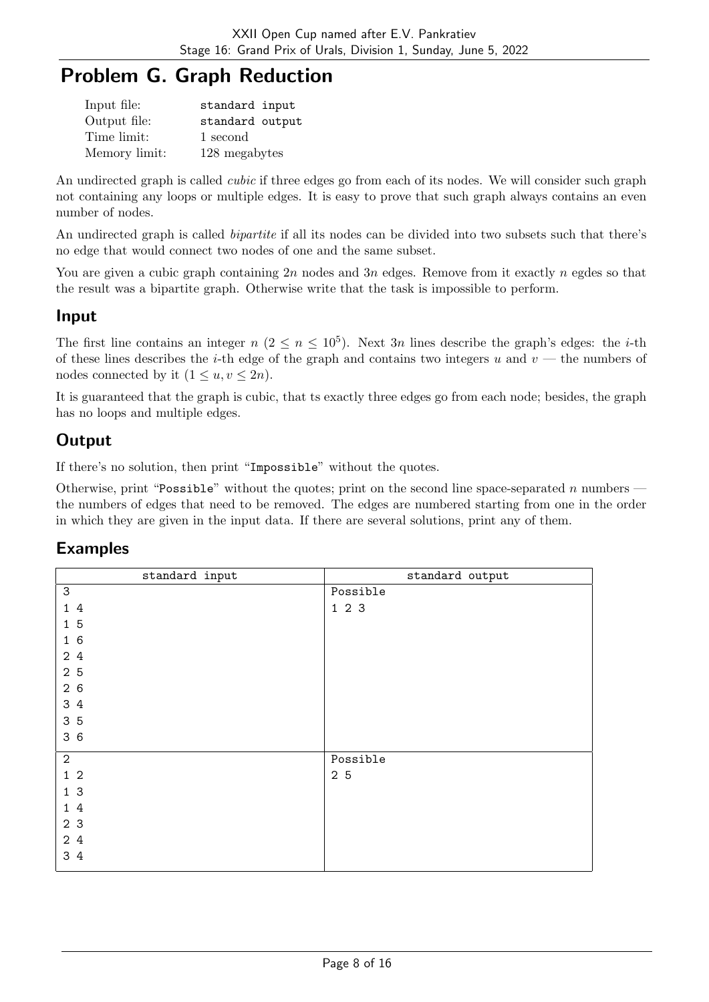# Problem G. Graph Reduction

| Input file:   | standard input  |
|---------------|-----------------|
| Output file:  | standard output |
| Time limit:   | 1 second        |
| Memory limit: | 128 megabytes   |

An undirected graph is called *cubic* if three edges go from each of its nodes. We will consider such graph not containing any loops or multiple edges. It is easy to prove that such graph always contains an even number of nodes.

An undirected graph is called *bipartite* if all its nodes can be divided into two subsets such that there's no edge that would connect two nodes of one and the same subset.

You are given a cubic graph containing  $2n$  nodes and  $3n$  edges. Remove from it exactly n egdes so that the result was a bipartite graph. Otherwise write that the task is impossible to perform.

### Input

The first line contains an integer  $n (2 \le n \le 10^5)$ . Next 3n lines describe the graph's edges: the *i*-th of these lines describes the *i*-th edge of the graph and contains two integers u and  $v$  — the numbers of nodes connected by it  $(1 \le u, v \le 2n)$ .

It is guaranteed that the graph is cubic, that ts exactly three edges go from each node; besides, the graph has no loops and multiple edges.

## **Output**

If there's no solution, then print "Impossible" without the quotes.

Otherwise, print "Possible" without the quotes; print on the second line space-separated n numbers the numbers of edges that need to be removed. The edges are numbered starting from one in the order in which they are given in the input data. If there are several solutions, print any of them.

| standard input            | standard output |
|---------------------------|-----------------|
| $\ensuremath{\mathsf{3}}$ | Possible        |
| $1\,4$                    | 123             |
| 15                        |                 |
| 16                        |                 |
| 24                        |                 |
| 2 <sub>5</sub>            |                 |
| 26                        |                 |
| 3 4                       |                 |
| 3 5                       |                 |
| 36                        |                 |
| $\sqrt{2}$                | Possible        |
| $1\,2$                    | 2 5             |
| 1 <sub>3</sub>            |                 |
| 14                        |                 |
| 2 3                       |                 |
| 2 4                       |                 |
| 3 4                       |                 |
|                           |                 |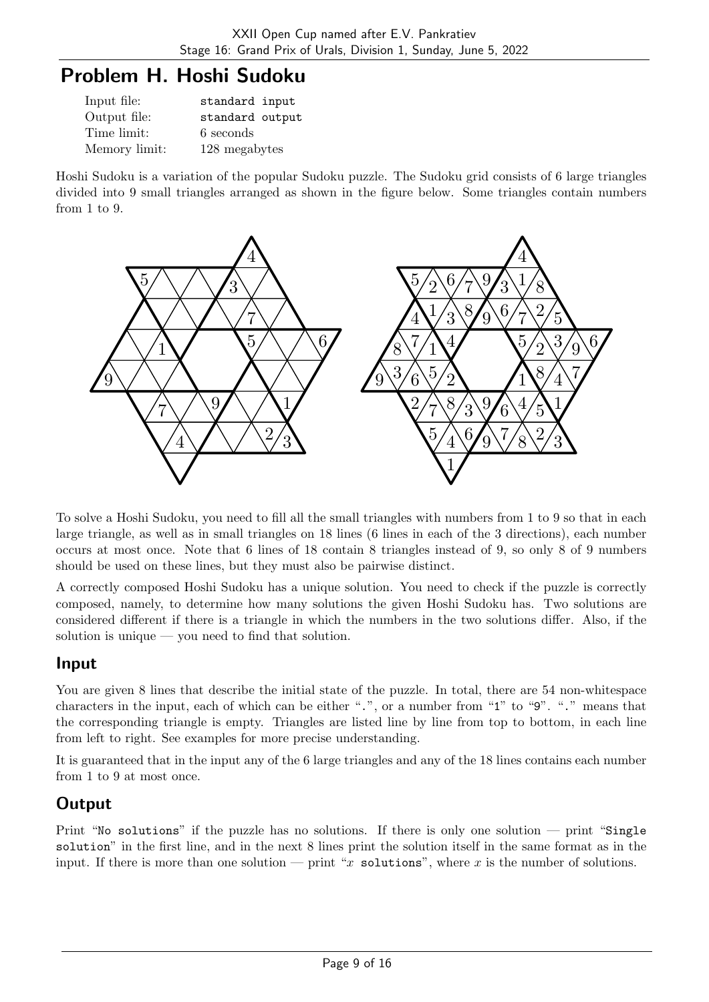# Problem H. Hoshi Sudoku

| Input file:   | standard input  |
|---------------|-----------------|
| Output file:  | standard output |
| Time limit:   | 6 seconds       |
| Memory limit: | 128 megabytes   |

Hoshi Sudoku is a variation of the popular Sudoku puzzle. The Sudoku grid consists of 6 large triangles divided into 9 small triangles arranged as shown in the figure below. Some triangles contain numbers from 1 to 9.



To solve a Hoshi Sudoku, you need to fill all the small triangles with numbers from 1 to 9 so that in each large triangle, as well as in small triangles on 18 lines (6 lines in each of the 3 directions), each number occurs at most once. Note that 6 lines of 18 contain 8 triangles instead of 9, so only 8 of 9 numbers should be used on these lines, but they must also be pairwise distinct.

A correctly composed Hoshi Sudoku has a unique solution. You need to check if the puzzle is correctly composed, namely, to determine how many solutions the given Hoshi Sudoku has. Two solutions are considered different if there is a triangle in which the numbers in the two solutions differ. Also, if the solution is unique — you need to find that solution.

### Input

You are given 8 lines that describe the initial state of the puzzle. In total, there are 54 non-whitespace characters in the input, each of which can be either ".", or a number from "1" to "9". "." means that the corresponding triangle is empty. Triangles are listed line by line from top to bottom, in each line from left to right. See examples for more precise understanding.

It is guaranteed that in the input any of the 6 large triangles and any of the 18 lines contains each number from 1 to 9 at most once.

## **Output**

Print "No solutions" if the puzzle has no solutions. If there is only one solution — print "Single solution" in the first line, and in the next 8 lines print the solution itself in the same format as in the input. If there is more than one solution — print "x solutions", where x is the number of solutions.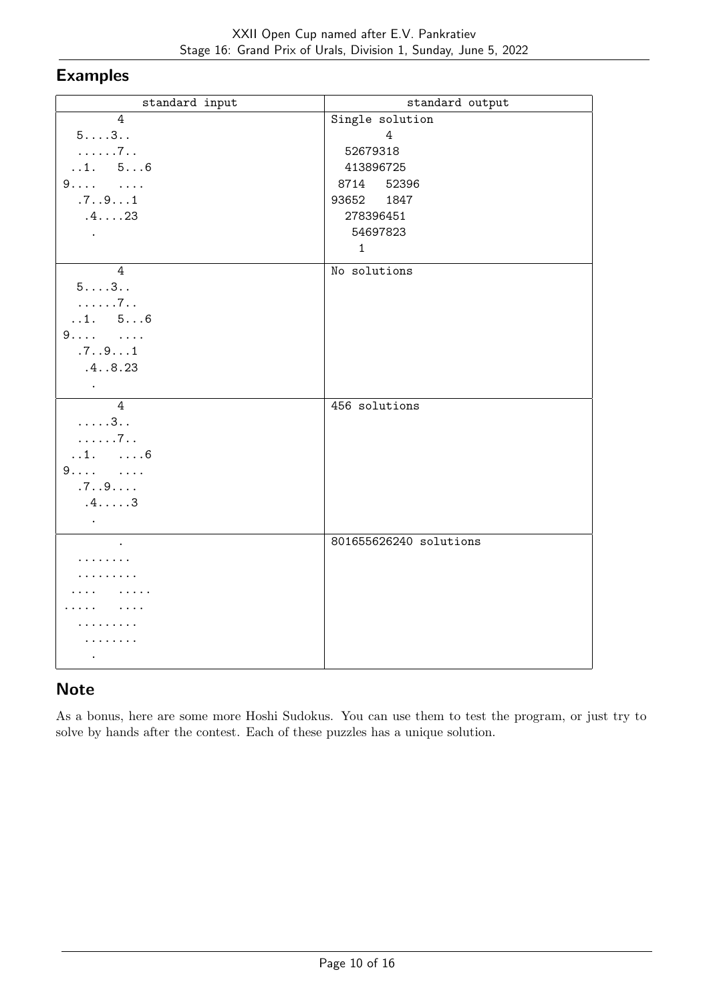## Examples

| standard input            | standard output        |
|---------------------------|------------------------|
| 4                         | Single solution        |
| 53                        | 4                      |
| . 7                       | 52679318               |
| 1. 56                     | 413896725              |
| 9 9                       | 8714 52396             |
| .7. .9.1                  | 93652 1847             |
| .4. 23                    | 278396451              |
| $\Box$                    | 54697823               |
|                           | $\mathbf{1}$           |
| $\overline{4}$            | No solutions           |
| 53                        |                        |
| . 7                       |                        |
| 1. 56                     |                        |
| $9 \t $                   |                        |
| .7. .9.1                  |                        |
| .4.08.23                  |                        |
| $\sim$                    |                        |
| $\overline{4}$            | 456 solutions          |
| $\dots 3$                 |                        |
| . 7                       |                        |
| $1.$ $6$                  |                        |
| $9 \t \t$                 |                        |
| .7. .9.                   |                        |
| $.4. \ldots .3$           |                        |
| $\sim 10^{-10}$ m $^{-1}$ |                        |
| $\ddot{\phantom{a}}$      | 801655626240 solutions |
| .                         |                        |
| .                         |                        |
|                           |                        |
|                           |                        |
| 2.2.2.2.2.2.2             |                        |
| .                         |                        |
| $\bullet$                 |                        |

### **Note**

As a bonus, here are some more Hoshi Sudokus. You can use them to test the program, or just try to solve by hands after the contest. Each of these puzzles has a unique solution.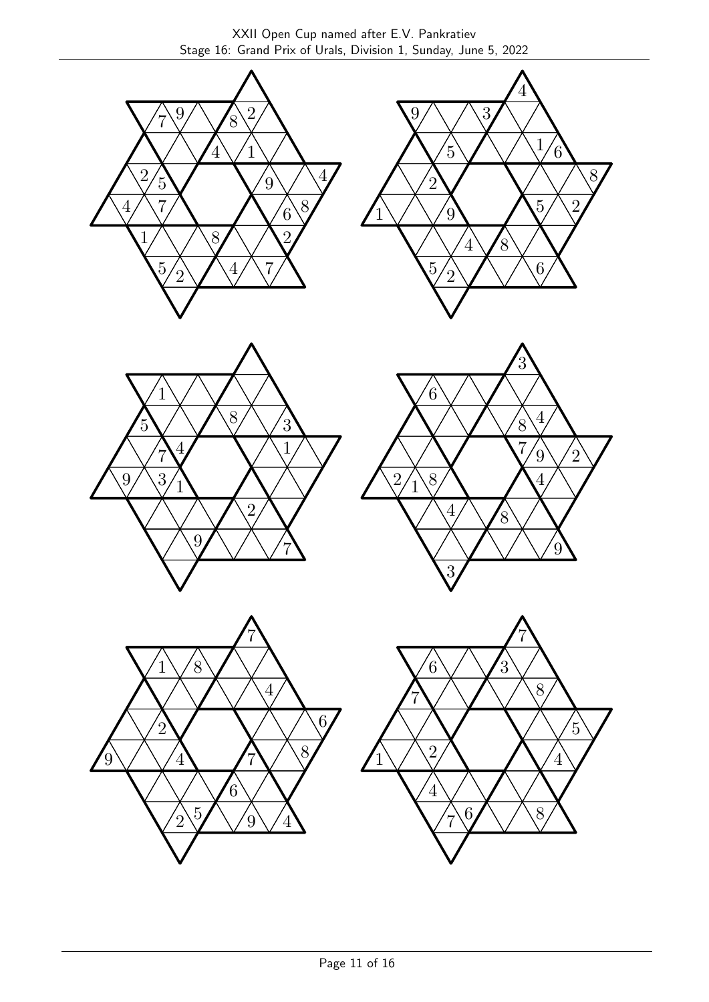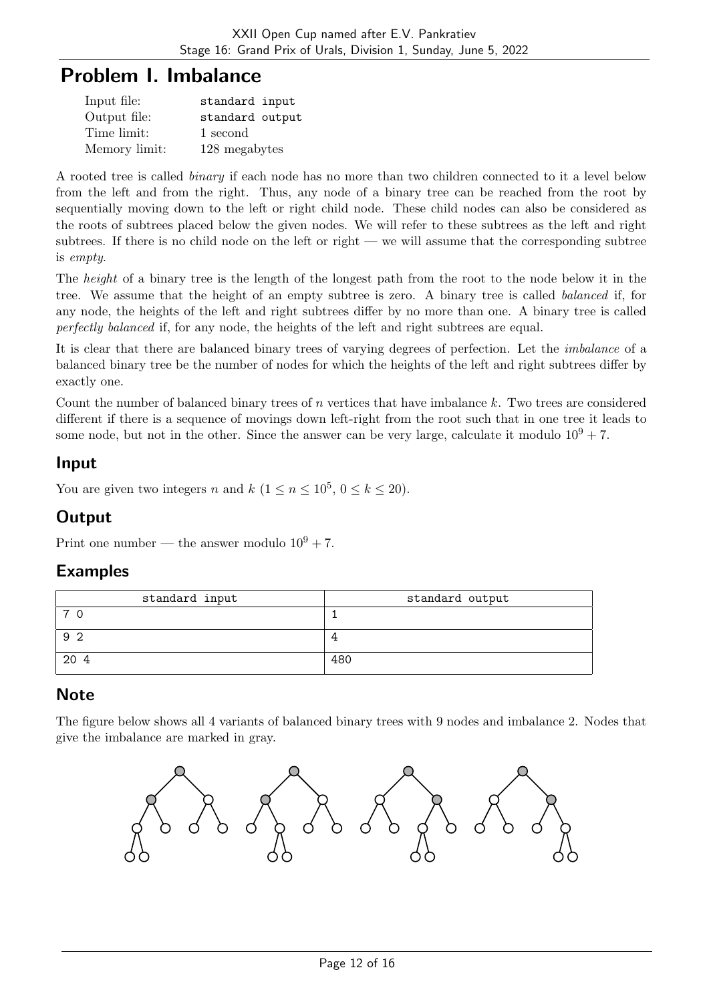## Problem I. Imbalance

| Input file:   | standard input  |
|---------------|-----------------|
| Output file:  | standard output |
| Time limit:   | 1 second        |
| Memory limit: | 128 megabytes   |

A rooted tree is called binary if each node has no more than two children connected to it a level below from the left and from the right. Thus, any node of a binary tree can be reached from the root by sequentially moving down to the left or right child node. These child nodes can also be considered as the roots of subtrees placed below the given nodes. We will refer to these subtrees as the left and right subtrees. If there is no child node on the left or right — we will assume that the corresponding subtree is empty.

The *height* of a binary tree is the length of the longest path from the root to the node below it in the tree. We assume that the height of an empty subtree is zero. A binary tree is called balanced if, for any node, the heights of the left and right subtrees differ by no more than one. A binary tree is called perfectly balanced if, for any node, the heights of the left and right subtrees are equal.

It is clear that there are balanced binary trees of varying degrees of perfection. Let the imbalance of a balanced binary tree be the number of nodes for which the heights of the left and right subtrees differ by exactly one.

Count the number of balanced binary trees of n vertices that have imbalance k. Two trees are considered different if there is a sequence of movings down left-right from the root such that in one tree it leads to some node, but not in the other. Since the answer can be very large, calculate it modulo  $10^9 + 7$ .

#### Input

You are given two integers n and  $k$   $(1 \le n \le 10^5, 0 \le k \le 20)$ .

## **Output**

Print one number — the answer modulo  $10^9 + 7$ .

### Examples

| standard input | standard output |
|----------------|-----------------|
| ⇁              |                 |
| 92             |                 |
| 20 4           | 480             |

## **Note**

The figure below shows all 4 variants of balanced binary trees with 9 nodes and imbalance 2. Nodes that give the imbalance are marked in gray.

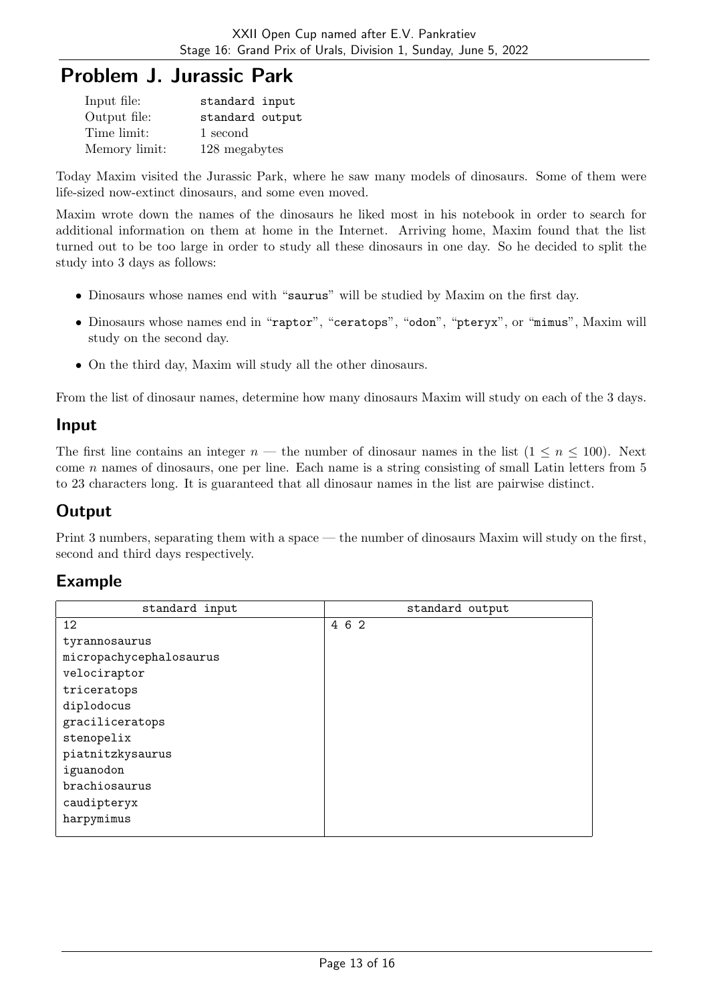## Problem J. Jurassic Park

| Input file:   | standard input  |
|---------------|-----------------|
| Output file:  | standard output |
| Time limit:   | 1 second        |
| Memory limit: | 128 megabytes   |

Today Maxim visited the Jurassic Park, where he saw many models of dinosaurs. Some of them were life-sized now-extinct dinosaurs, and some even moved.

Maxim wrote down the names of the dinosaurs he liked most in his notebook in order to search for additional information on them at home in the Internet. Arriving home, Maxim found that the list turned out to be too large in order to study all these dinosaurs in one day. So he decided to split the study into 3 days as follows:

- Dinosaurs whose names end with "saurus" will be studied by Maxim on the first day.
- Dinosaurs whose names end in "raptor", "ceratops", "odon", "pteryx", or "mimus", Maxim will study on the second day.
- On the third day, Maxim will study all the other dinosaurs.

From the list of dinosaur names, determine how many dinosaurs Maxim will study on each of the 3 days.

#### Input

The first line contains an integer  $n$  — the number of dinosaur names in the list  $(1 \le n \le 100)$ . Next come  $n$  names of dinosaurs, one per line. Each name is a string consisting of small Latin letters from  $5$ to 23 characters long. It is guaranteed that all dinosaur names in the list are pairwise distinct.

## **Output**

Print 3 numbers, separating them with a space — the number of dinosaurs Maxim will study on the first, second and third days respectively.

| standard input          | standard output |
|-------------------------|-----------------|
| 12                      | 4 6 2           |
| tyrannosaurus           |                 |
| micropachycephalosaurus |                 |
| velociraptor            |                 |
| triceratops             |                 |
| diplodocus              |                 |
| graciliceratops         |                 |
| stenopelix              |                 |
| piatnitzkysaurus        |                 |
| iguanodon               |                 |
| brachiosaurus           |                 |
| caudipteryx             |                 |
| harpymimus              |                 |
|                         |                 |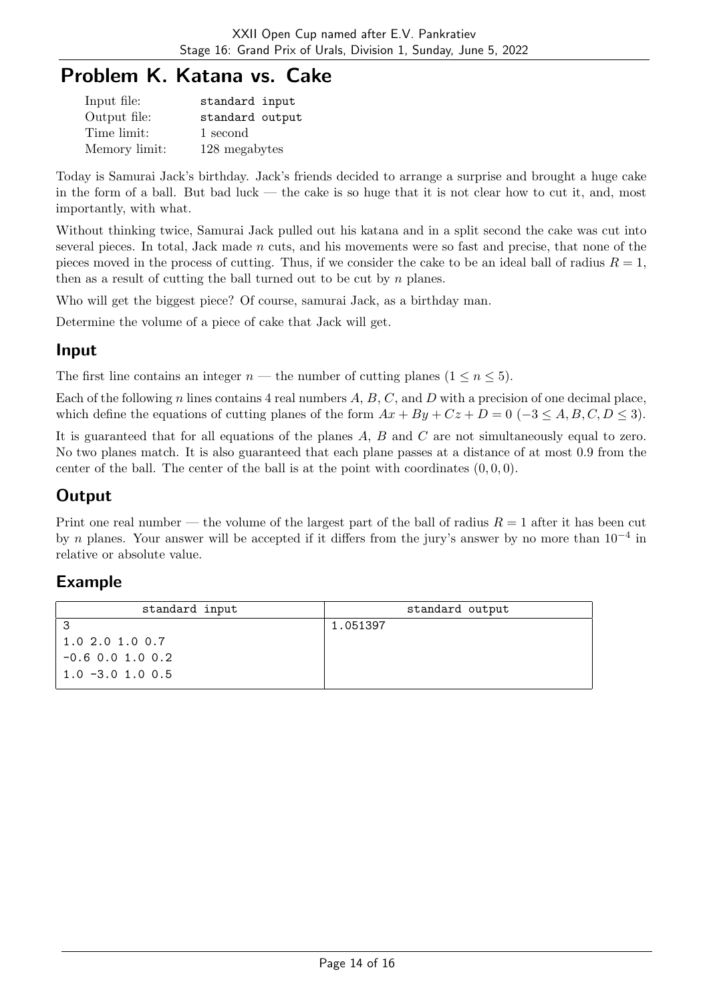# Problem K. Katana vs. Cake

| Input file:   | standard input  |
|---------------|-----------------|
| Output file:  | standard output |
| Time limit:   | 1 second        |
| Memory limit: | 128 megabytes   |

Today is Samurai Jack's birthday. Jack's friends decided to arrange a surprise and brought a huge cake in the form of a ball. But bad luck — the cake is so huge that it is not clear how to cut it, and, most importantly, with what.

Without thinking twice, Samurai Jack pulled out his katana and in a split second the cake was cut into several pieces. In total, Jack made n cuts, and his movements were so fast and precise, that none of the pieces moved in the process of cutting. Thus, if we consider the cake to be an ideal ball of radius  $R = 1$ , then as a result of cutting the ball turned out to be cut by  $n$  planes.

Who will get the biggest piece? Of course, samurai Jack, as a birthday man.

Determine the volume of a piece of cake that Jack will get.

### Input

The first line contains an integer  $n$  — the number of cutting planes  $(1 \le n \le 5)$ .

Each of the following n lines contains 4 real numbers  $A, B, C$ , and  $D$  with a precision of one decimal place, which define the equations of cutting planes of the form  $Ax + By + Cz + D = 0$  (-3  $\leq A, B, C, D \leq 3$ ).

It is guaranteed that for all equations of the planes A, B and C are not simultaneously equal to zero. No two planes match. It is also guaranteed that each plane passes at a distance of at most 0.9 from the center of the ball. The center of the ball is at the point with coordinates  $(0, 0, 0)$ .

## **Output**

Print one real number — the volume of the largest part of the ball of radius  $R = 1$  after it has been cut by n planes. Your answer will be accepted if it differs from the jury's answer by no more than  $10^{-4}$  in relative or absolute value.

| standard input      | standard output |
|---------------------|-----------------|
|                     | 1.051397        |
| 1.0 2.0 1.0 0.7     |                 |
| $-0.6$ 0.0 1.0 0.2  |                 |
| $1.0 - 3.0 1.0 0.5$ |                 |
|                     |                 |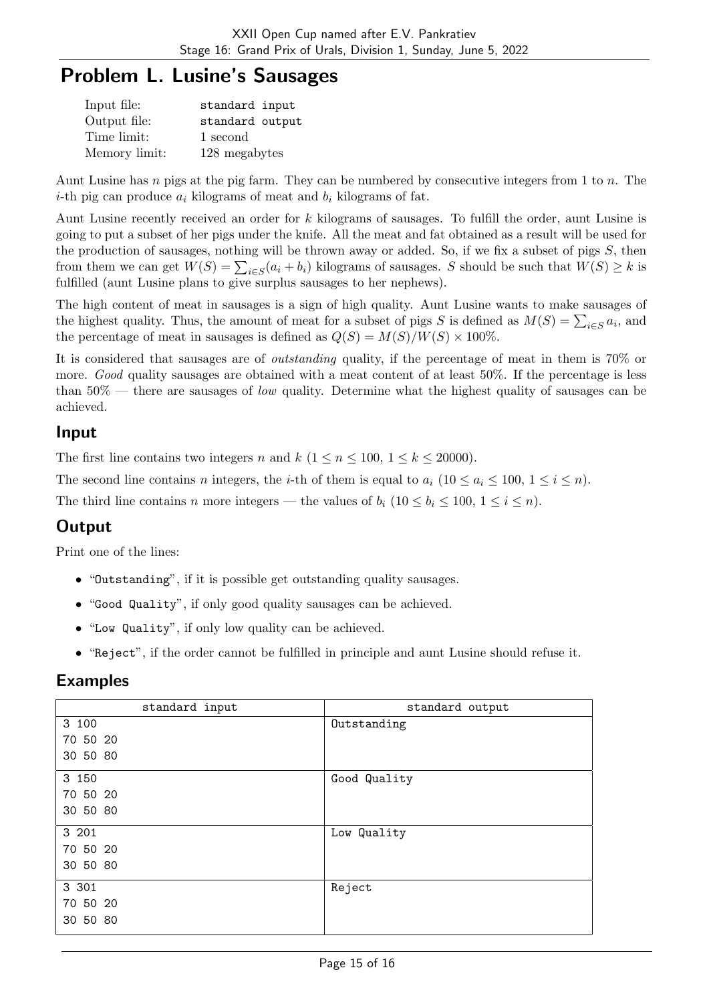## Problem L. Lusine's Sausages

| Input file:   | standard input  |
|---------------|-----------------|
| Output file:  | standard output |
| Time limit:   | 1 second        |
| Memory limit: | 128 megabytes   |

Aunt Lusine has n pigs at the pig farm. They can be numbered by consecutive integers from 1 to n. The *i*-th pig can produce  $a_i$  kilograms of meat and  $b_i$  kilograms of fat.

Aunt Lusine recently received an order for k kilograms of sausages. To fulfill the order, aunt Lusine is going to put a subset of her pigs under the knife. All the meat and fat obtained as a result will be used for the production of sausages, nothing will be thrown away or added. So, if we fix a subset of pigs  $S$ , then from them we can get  $W(S) = \sum_{i \in S} (a_i + b_i)$  kilograms of sausages. S should be such that  $W(S) \geq k$  is fulfilled (aunt Lusine plans to give surplus sausages to her nephews).

The high content of meat in sausages is a sign of high quality. Aunt Lusine wants to make sausages of the highest quality. Thus, the amount of meat for a subset of pigs S is defined as  $M(S) = \sum_{i \in S} a_i$ , and the percentage of meat in sausages is defined as  $Q(S) = M(S)/W(S) \times 100\%$ .

It is considered that sausages are of outstanding quality, if the percentage of meat in them is 70% or more. Good quality sausages are obtained with a meat content of at least 50%. If the percentage is less than  $50\%$  — there are sausages of *low* quality. Determine what the highest quality of sausages can be achieved.

#### Input

The first line contains two integers n and k  $(1 \le n \le 100, 1 \le k \le 20000)$ .

The second line contains n integers, the *i*-th of them is equal to  $a_i$  (10  $\le a_i \le 100$ ,  $1 \le i \le n$ ).

The third line contains n more integers — the values of  $b_i$  (10  $\leq b_i \leq 100$ ,  $1 \leq i \leq n$ ).

## **Output**

Print one of the lines:

- "Outstanding", if it is possible get outstanding quality sausages.
- "Good Quality", if only good quality sausages can be achieved.
- "Low Quality", if only low quality can be achieved.
- "Reject", if the order cannot be fulfilled in principle and aunt Lusine should refuse it.

| standard input | standard output |
|----------------|-----------------|
| 3 100          | Outstanding     |
| 70 50 20       |                 |
| 30 50 80       |                 |
| 3 150          | Good Quality    |
| 70 50 20       |                 |
| 30 50 80       |                 |
| 3 201          | Low Quality     |
| 70 50 20       |                 |
| 30 50 80       |                 |
| 3 3 0 1        | Reject          |
| 70 50 20       |                 |
| 30 50 80       |                 |